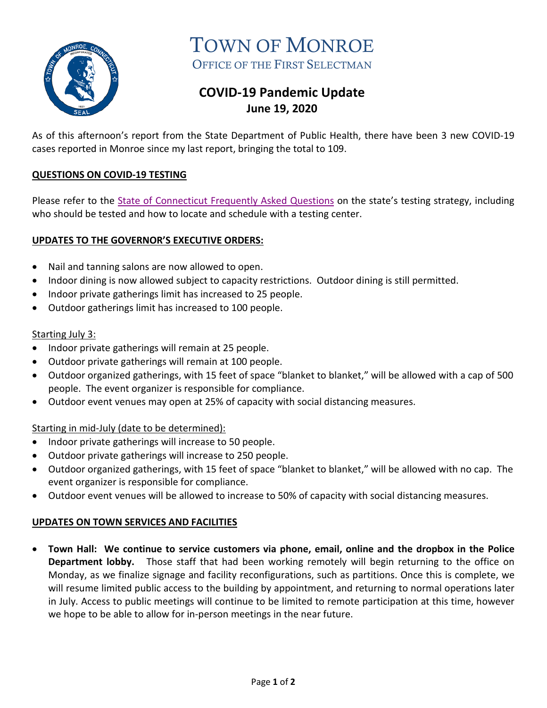

TOWN OF MONROE OFFICE OF THE FIRST SELECTMAN

# **COVID-19 Pandemic Update June 19, 2020**

As of this afternoon's report from the State Department of Public Health, there have been 3 new COVID-19 cases reported in Monroe since my last report, bringing the total to 109.

## **QUESTIONS ON COVID-19 TESTING**

Please refer to the **State of Connecticut Frequently Asked Questions** on the state's testing strategy, including who should be tested and how to locate and schedule with a testing center.

## **UPDATES TO THE GOVERNOR'S EXECUTIVE ORDERS:**

- Nail and tanning salons are now allowed to open.
- Indoor dining is now allowed subject to capacity restrictions. Outdoor dining is still permitted.
- Indoor private gatherings limit has increased to 25 people.
- Outdoor gatherings limit has increased to 100 people.

## Starting July 3:

- Indoor private gatherings will remain at 25 people.
- Outdoor private gatherings will remain at 100 people.
- Outdoor organized gatherings, with 15 feet of space "blanket to blanket," will be allowed with a cap of 500 people. The event organizer is responsible for compliance.
- Outdoor event venues may open at 25% of capacity with social distancing measures.

#### Starting in mid-July (date to be determined):

- Indoor private gatherings will increase to 50 people.
- Outdoor private gatherings will increase to 250 people.
- Outdoor organized gatherings, with 15 feet of space "blanket to blanket," will be allowed with no cap. The event organizer is responsible for compliance.
- Outdoor event venues will be allowed to increase to 50% of capacity with social distancing measures.

#### **UPDATES ON TOWN SERVICES AND FACILITIES**

• **Town Hall: We continue to service customers via phone, email, online and the dropbox in the Police Department lobby.** Those staff that had been working remotely will begin returning to the office on Monday, as we finalize signage and facility reconfigurations, such as partitions. Once this is complete, we will resume limited public access to the building by appointment, and returning to normal operations later in July. Access to public meetings will continue to be limited to remote participation at this time, however we hope to be able to allow for in-person meetings in the near future.